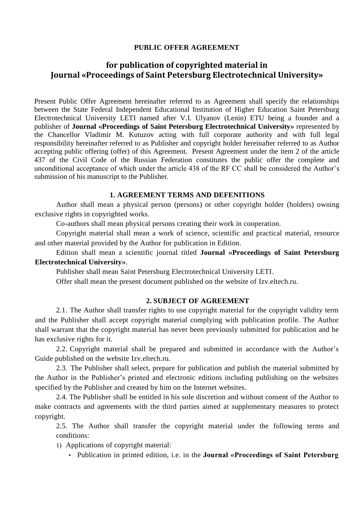# **PUBLIC OFFER AGREEMENT**

# **for publication of copyrighted material in Journal «Proceedings of Saint Petersburg Electrotechnical University»**

Present Public Offer Agreement hereinafter referred to as Agreement shall specify the relationships between the State Federal Independent Educational Institution of Higher Education Saint Petersburg Electrotechnical University LETI named after V.I. Ulyanov (Lenin) ETU being a founder and a publisher of **Journal «Proceedings of Saint Petersburg Electrotechnical University»** represented by the Chancellor Vladimir M. Kutuzov acting with full corporate authority and with full legal responsibility hereinafter referred to as Publisher and copyright holder hereinafter referred to as Author accepting public offering (offer) of this Agreement. Present Agreement under the item 2 of the article 437 of the Civil Code of the Russian Federation constitutes the public offer the complete and unconditional acceptance of which under the article 438 of the RF CC shall be considered the Author's submission of his manuscript to the Publisher.

## **1. AGREEMENT TERMS AND DEFENITIONS**

Author shall mean a physical person (persons) or other copyright holder (holders) owning exclusive rights in copyrighted works.

Co-authors shall mean physical persons creating their work in cooperation.

Copyright material shall mean a work of science, scientific and practical material, resource and other material provided by the Author for publication in Edition.

Edition shall mean a scientific journal titled **Journal «Proceedings of Saint Petersburg Electrotechnical University»**.

Publisher shall mean Saint Petersburg Electrotechnical University LETI.

Offer shall mean the present document published on the website of Izv.eltech.ru.

# **2. SUBJECT OF AGREEMENT**

2.1. The Author shall transfer rights to use copyright material for the copyright validity term and the Publisher shall accept copyright material complying with publication profile. The Author shall warrant that the copyright material has never been previously submitted for publication and he has exclusive rights for it.

2.2. Copyright material shall be prepared and submitted in accordance with the Author's Guide published on the website Izv.eltech.ru.

2.3. The Publisher shall select, prepare for publication and publish the material submitted by the Author in the Publisher's printed and electronic editions including publishing on the websites specified by the Publisher and created by him on the Internet websites.

2.4. The Publisher shall be entitled in his sole discretion and without consent of the Author to make contracts and agreements with the third parties aimed at supplementary measures to protect copyright.

2.5. The Author shall transfer the copyright material under the following terms and conditions:

1) Applications of copyright material:

• Publication in printed edition, i.e. in the **Journal «Proceedings of Saint Petersburg**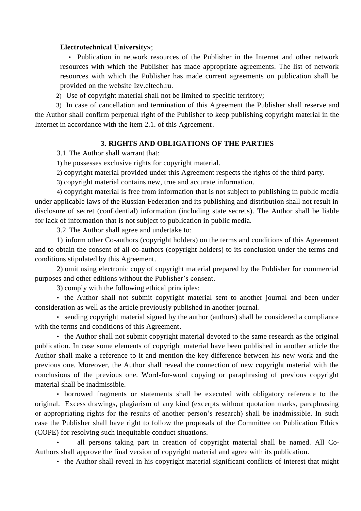#### **Electrotechnical University»**;

• Publication in network resources of the Publisher in the Internet and other network resources with which the Publisher has made appropriate agreements. The list of network resources with which the Publisher has made current agreements on publication shall be provided on the website Izv.eltech.ru.

2) Use of copyright material shall not be limited to specific territory;

3) In case of cancellation and termination of this Agreement the Publisher shall reserve and the Author shall confirm perpetual right of the Publisher to keep publishing copyright material in the Internet in accordance with the item 2.1. of this Agreement.

#### **3. RIGHTS AND OBLIGATIONS OF THE PARTIES**

3.1. The Author shall warrant that:

1) he possesses exclusive rights for copyright material.

2) copyright material provided under this Agreement respects the rights of the third party.

3) copyright material contains new, true and accurate information.

4) copyright material is free from information that is not subject to publishing in public media under applicable laws of the Russian Federation and its publishing and distribution shall not result in disclosure of secret (confidential) information (including state secrets). The Author shall be liable for lack of information that is not subject to publication in public media.

3.2. The Author shall agree and undertake to:

1) inform other Co-authors (copyright holders) on the terms and conditions of this Agreement and to obtain the consent of all co-authors (copyright holders) to its conclusion under the terms and conditions stipulated by this Agreement.

2) omit using electronic copy of copyright material prepared by the Publisher for commercial purposes and other editions without the Publisher's consent.

3) comply with the following ethical principles:

• the Author shall not submit copyright material sent to another journal and been under consideration as well as the article previously published in another journal.

• sending copyright material signed by the author (authors) shall be considered a compliance with the terms and conditions of this Agreement.

• the Author shall not submit copyright material devoted to the same research as the original publication. In case some elements of copyright material have been published in another article the Author shall make a reference to it and mention the key difference between his new work and the previous one. Moreover, the Author shall reveal the connection of new copyright material with the conclusions of the previous one. Word-for-word copying or paraphrasing of previous copyright material shall be inadmissible.

• borrowed fragments or statements shall be executed with obligatory reference to the original. Excess drawings, plagiarism of any kind (excerpts without quotation marks, paraphrasing or appropriating rights for the results of another person's research) shall be inadmissible. In such case the Publisher shall have right to follow the proposals of the Committee on Publication Ethics (COPE) for resolving such inequitable conduct situations.

• all persons taking part in creation of copyright material shall be named. All Co-Authors shall approve the final version of copyright material and agree with its publication.

• the Author shall reveal in his copyright material significant conflicts of interest that might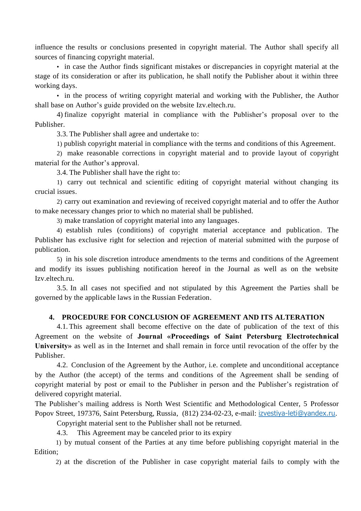influence the results or conclusions presented in copyright material. The Author shall specify all sources of financing copyright material.

• in case the Author finds significant mistakes or discrepancies in copyright material at the stage of its consideration or after its publication, he shall notify the Publisher about it within three working days.

• in the process of writing copyright material and working with the Publisher, the Author shall base on Author's guide provided on the website Izv.eltech.ru.

4) finalize copyright material in compliance with the Publisher's proposal over to the Publisher.

3.3. The Publisher shall agree and undertake to:

1) publish copyright material in compliance with the terms and conditions of this Agreement.

2) make reasonable corrections in copyright material and to provide layout of copyright material for the Author's approval.

3.4. The Publisher shall have the right to:

1) carry out technical and scientific editing of copyright material without changing its crucial issues.

2) carry out examination and reviewing of received copyright material and to offer the Author to make necessary changes prior to which no material shall be published.

3) make translation of copyright material into any languages.

4) establish rules (conditions) of copyright material acceptance and publication. The Publisher has exclusive right for selection and rejection of material submitted with the purpose of publication.

5) in his sole discretion introduce amendments to the terms and conditions of the Agreement and modify its issues publishing notification hereof in the Journal as well as on the website Izv.eltech.ru.

3.5. In all cases not specified and not stipulated by this Agreement the Parties shall be governed by the applicable laws in the Russian Federation.

# **4. PROCEDURE FOR CONCLUSION OF AGREEMENT AND ITS ALTERATION**

4.1. This agreement shall become effective on the date of publication of the text of this Agreement on the website of **Journal «Proceedings of Saint Petersburg Electrotechnical University»** as well as in the Internet and shall remain in force until revocation of the offer by the Publisher.

4.2. Conclusion of the Agreement by the Author, i.e. complete and unconditional acceptance by the Author (the accept) of the terms and conditions of the Agreement shall be sending of copyright material by post or email to the Publisher in person and the Publisher's registration of delivered copyright material.

The Publisher's mailing address is North West Scientific and Methodological Center, 5 Professor Popov Street, 197376, Saint Petersburg, Russia, (812) 234-02-23, e-mail: [izvestiya-leti@yandex.ru](mailto:izvestiya-leti@yandex.ru).

Copyright material sent to the Publisher shall not be returned.

4.3. This Agreement may be canceled prior to its expiry

1) by mutual consent of the Parties at any time before publishing copyright material in the Edition;

2) at the discretion of the Publisher in case copyright material fails to comply with the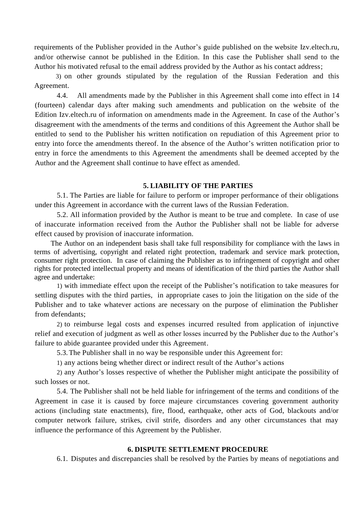requirements of the Publisher provided in the Author's guide published on the website Izv.eltech.ru, and/or otherwise cannot be published in the Edition. In this case the Publisher shall send to the Author his motivated refusal to the email address provided by the Author as his contact address;

3) on other grounds stipulated by the regulation of the Russian Federation and this Agreement.

4.4. All amendments made by the Publisher in this Agreement shall come into effect in 14 (fourteen) calendar days after making such amendments and publication on the website of the Edition Izv.eltech.ru of information on amendments made in the Agreement. In case of the Author's disagreement with the amendments of the terms and conditions of this Agreement the Author shall be entitled to send to the Publisher his written notification on repudiation of this Agreement prior to entry into force the amendments thereof. In the absence of the Author's written notification prior to entry in force the amendments to this Agreement the amendments shall be deemed accepted by the Author and the Agreement shall continue to have effect as amended.

#### **5. LIABILITY OF THE PARTIES**

5.1. The Parties are liable for failure to perform or improper performance of their obligations under this Agreement in accordance with the current laws of the Russian Federation.

5.2. All information provided by the Author is meant to be true and complete. In case of use of inaccurate information received from the Author the Publisher shall not be liable for adverse effect caused by provision of inaccurate information.

The Author on an independent basis shall take full responsibility for compliance with the laws in terms of advertising, copyright and related right protection, trademark and service mark protection, consumer right protection. In case of claiming the Publisher as to infringement of copyright and other rights for protected intellectual property and means of identification of the third parties the Author shall agree and undertake:

1) with immediate effect upon the receipt of the Publisher's notification to take measures for settling disputes with the third parties, in appropriate cases to join the litigation on the side of the Publisher and to take whatever actions are necessary on the purpose of elimination the Publisher from defendants;

2) to reimburse legal costs and expenses incurred resulted from application of injunctive relief and execution of judgment as well as other losses incurred by the Publisher due to the Author's failure to abide guarantee provided under this Agreement.

5.3.The Publisher shall in no way be responsible under this Agreement for:

1) any actions being whether direct or indirect result of the Author's actions

2) any Author's losses respective of whether the Publisher might anticipate the possibility of such losses or not.

5.4. The Publisher shall not be held liable for infringement of the terms and conditions of the Agreement in case it is caused by force majeure circumstances covering government authority actions (including state enactments), fire, flood, earthquake, other acts of God, blackouts and/or computer network failure, strikes, civil strife, disorders and any other circumstances that may influence the performance of this Agreement by the Publisher.

# **6. DISPUTE SETTLEMENT PROCEDURE**

6.1. Disputes and discrepancies shall be resolved by the Parties by means of negotiations and